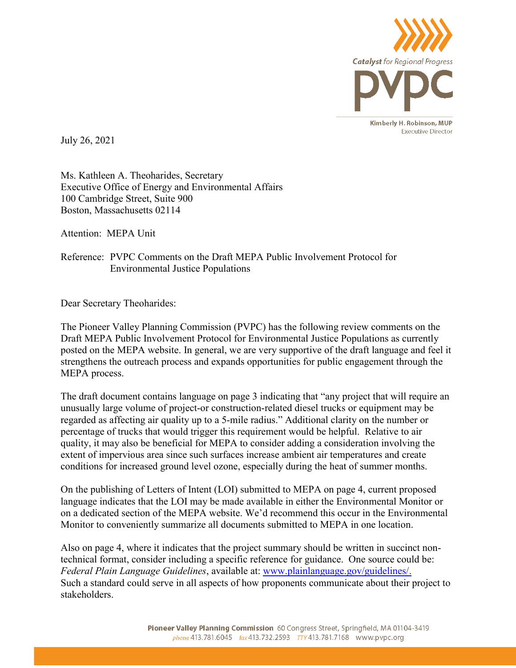

July 26, 2021

Ms. Kathleen A. Theoharides, Secretary Executive Office of Energy and Environmental Affairs 100 Cambridge Street, Suite 900 Boston, Massachusetts 02114

Attention: MEPA Unit

## Reference: PVPC Comments on the Draft MEPA Public Involvement Protocol for Environmental Justice Populations

Dear Secretary Theoharides:

The Pioneer Valley Planning Commission (PVPC) has the following review comments on the Draft MEPA Public Involvement Protocol for Environmental Justice Populations as currently posted on the MEPA website. In general, we are very supportive of the draft language and feel it strengthens the outreach process and expands opportunities for public engagement through the MEPA process.

The draft document contains language on page 3 indicating that "any project that will require an unusually large volume of project‐or construction‐related diesel trucks or equipment may be regarded as affecting air quality up to a 5‐mile radius." Additional clarity on the number or percentage of trucks that would trigger this requirement would be helpful. Relative to air quality, it may also be beneficial for MEPA to consider adding a consideration involving the extent of impervious area since such surfaces increase ambient air temperatures and create conditions for increased ground level ozone, especially during the heat of summer months.

On the publishing of Letters of Intent (LOI) submitted to MEPA on page 4, current proposed language indicates that the LOI may be made available in either the Environmental Monitor or on a dedicated section of the MEPA website. We'd recommend this occur in the Environmental Monitor to conveniently summarize all documents submitted to MEPA in one location.

Also on page 4, where it indicates that the project summary should be written in succinct nontechnical format, consider including a specific reference for guidance. One source could be: *Federal Plain Language Guidelines*, available at: www.plainlanguage.gov/guidelines/. Such a standard could serve in all aspects of how proponents communicate about their project to stakeholders.